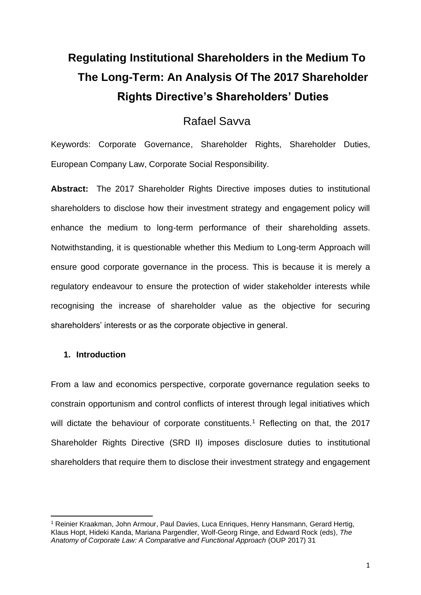# **Regulating Institutional Shareholders in the Medium To The Long-Term: An Analysis Of The 2017 Shareholder Rights Directive's Shareholders' Duties**

# Rafael Savva

Keywords: Corporate Governance, Shareholder Rights, Shareholder Duties, European Company Law, Corporate Social Responsibility.

**Abstract:** The 2017 Shareholder Rights Directive imposes duties to institutional shareholders to disclose how their investment strategy and engagement policy will enhance the medium to long-term performance of their shareholding assets. Notwithstanding, it is questionable whether this Medium to Long-term Approach will ensure good corporate governance in the process. This is because it is merely a regulatory endeavour to ensure the protection of wider stakeholder interests while recognising the increase of shareholder value as the objective for securing shareholders' interests or as the corporate objective in general.

## **1. Introduction**

From a law and economics perspective, corporate governance regulation seeks to constrain opportunism and control conflicts of interest through legal initiatives which will dictate the behaviour of corporate constituents.<sup>1</sup> Reflecting on that, the 2017 Shareholder Rights Directive (SRD II) imposes disclosure duties to institutional shareholders that require them to disclose their investment strategy and engagement

<sup>1</sup> Reinier Kraakman, John Armour, Paul Davies, Luca Enriques, Henry Hansmann, Gerard Hertig, Klaus Hopt, Hideki Kanda, Mariana Pargendler, Wolf-Georg Ringe, and Edward Rock (eds), *The Anatomy of Corporate Law: A Comparative and Functional Approach* (OUP 2017) 31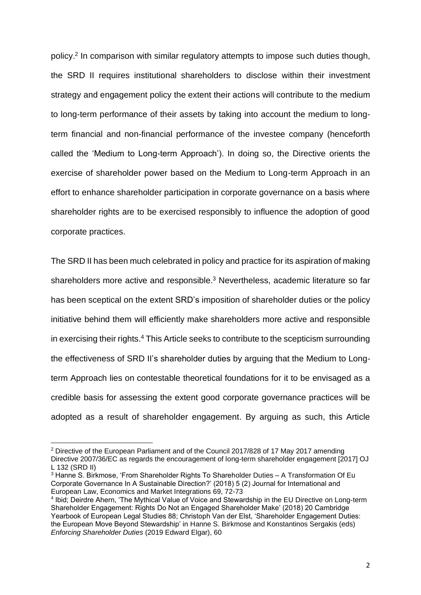policy.<sup>2</sup> In comparison with similar regulatory attempts to impose such duties though, the SRD II requires institutional shareholders to disclose within their investment strategy and engagement policy the extent their actions will contribute to the medium to long-term performance of their assets by taking into account the medium to longterm financial and non-financial performance of the investee company (henceforth called the 'Medium to Long-term Approach'). In doing so, the Directive orients the exercise of shareholder power based on the Medium to Long-term Approach in an effort to enhance shareholder participation in corporate governance on a basis where shareholder rights are to be exercised responsibly to influence the adoption of good corporate practices.

The SRD II has been much celebrated in policy and practice for its aspiration of making shareholders more active and responsible.<sup>3</sup> Nevertheless, academic literature so far has been sceptical on the extent SRD's imposition of shareholder duties or the policy initiative behind them will efficiently make shareholders more active and responsible in exercising their rights.<sup>4</sup> This Article seeks to contribute to the scepticism surrounding the effectiveness of SRD II's shareholder duties by arguing that the Medium to Longterm Approach lies on contestable theoretical foundations for it to be envisaged as a credible basis for assessing the extent good corporate governance practices will be adopted as a result of shareholder engagement. By arguing as such, this Article

<sup>2</sup> Directive of the European Parliament and of the Council 2017/828 of 17 May 2017 amending Directive 2007/36/EC as regards the encouragement of long-term shareholder engagement [2017] OJ L 132 (SRD II)

<sup>&</sup>lt;sup>3</sup> Hanne S. Birkmose, 'From Shareholder Rights To Shareholder Duties – A Transformation Of Eu Corporate Governance In A Sustainable Direction?' (2018) 5 (2) Journal for International and European Law, Economics and Market Integrations 69, 72-73

<sup>4</sup> Ibid; Deirdre Ahern, 'The Mythical Value of Voice and Stewardship in the EU Directive on Long-term Shareholder Engagement: Rights Do Not an Engaged Shareholder Make' (2018) 20 Cambridge Yearbook of European Legal Studies 88; Christoph Van der Elst, 'Shareholder Engagement Duties: the European Move Beyond Stewardship' in Hanne S. Birkmose and Konstantinos Sergakis (eds) *Enforcing Shareholder Duties* (2019 Edward Elgar), 60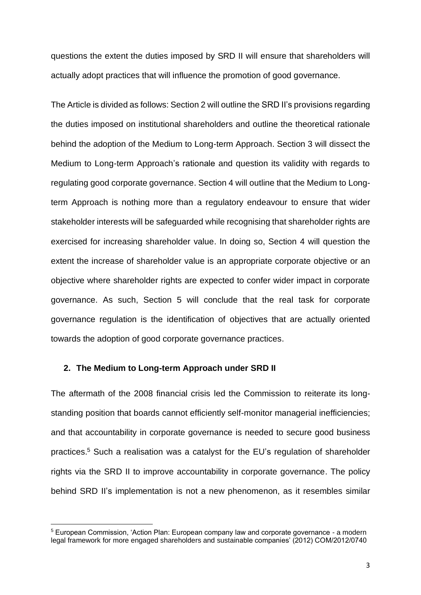questions the extent the duties imposed by SRD II will ensure that shareholders will actually adopt practices that will influence the promotion of good governance.

The Article is divided as follows: Section 2 will outline the SRD II's provisions regarding the duties imposed on institutional shareholders and outline the theoretical rationale behind the adoption of the Medium to Long-term Approach. Section 3 will dissect the Medium to Long-term Approach's rationale and question its validity with regards to regulating good corporate governance. Section 4 will outline that the Medium to Longterm Approach is nothing more than a regulatory endeavour to ensure that wider stakeholder interests will be safeguarded while recognising that shareholder rights are exercised for increasing shareholder value. In doing so, Section 4 will question the extent the increase of shareholder value is an appropriate corporate objective or an objective where shareholder rights are expected to confer wider impact in corporate governance. As such, Section 5 will conclude that the real task for corporate governance regulation is the identification of objectives that are actually oriented towards the adoption of good corporate governance practices.

#### **2. The Medium to Long-term Approach under SRD II**

The aftermath of the 2008 financial crisis led the Commission to reiterate its longstanding position that boards cannot efficiently self-monitor managerial inefficiencies; and that accountability in corporate governance is needed to secure good business practices. <sup>5</sup> Such a realisation was a catalyst for the EU's regulation of shareholder rights via the SRD II to improve accountability in corporate governance. The policy behind SRD II's implementation is not a new phenomenon, as it resembles similar

<sup>&</sup>lt;sup>5</sup> European Commission, 'Action Plan: European company law and corporate governance - a modern legal framework for more engaged shareholders and sustainable companies' (2012) COM/2012/0740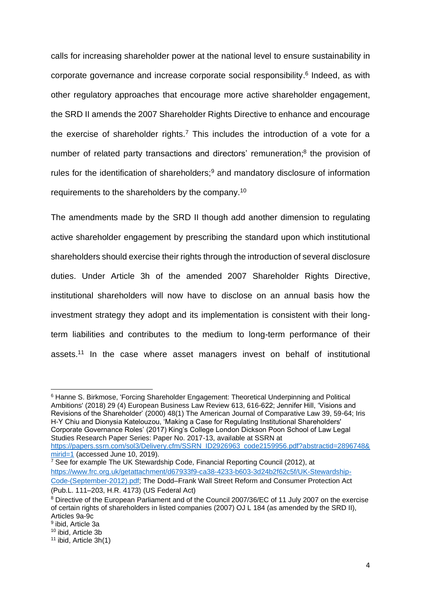calls for increasing shareholder power at the national level to ensure sustainability in corporate governance and increase corporate social responsibility. 6 Indeed, as with other regulatory approaches that encourage more active shareholder engagement, the SRD II amends the 2007 Shareholder Rights Directive to enhance and encourage the exercise of shareholder rights.<sup>7</sup> This includes the introduction of a vote for a number of related party transactions and directors' remuneration;<sup>8</sup> the provision of rules for the identification of shareholders; $9$  and mandatory disclosure of information requirements to the shareholders by the company.<sup>10</sup>

The amendments made by the SRD II though add another dimension to regulating active shareholder engagement by prescribing the standard upon which institutional shareholders should exercise their rights through the introduction of several disclosure duties. Under Article 3h of the amended 2007 Shareholder Rights Directive, institutional shareholders will now have to disclose on an annual basis how the investment strategy they adopt and its implementation is consistent with their longterm liabilities and contributes to the medium to long-term performance of their assets.<sup>11</sup> In the case where asset managers invest on behalf of institutional

<sup>6</sup> Hanne S. Birkmose, 'Forcing Shareholder Engagement: Theoretical Underpinning and Political Ambitions' (2018) 29 (4) European Business Law Review 613, 616-622; Jennifer Hill, 'Visions and Revisions of the Shareholder' (2000) 48(1) The American Journal of Comparative Law 39, 59-64; Iris H-Y Chiu and Dionysia Katelouzou, 'Making a Case for Regulating Institutional Shareholders' Corporate Governance Roles' (2017) King's College London Dickson Poon School of Law Legal Studies Research Paper Series: Paper No. 2017-13, available at SSRN at [https://papers.ssrn.com/sol3/Delivery.cfm/SSRN\\_ID2926963\\_code2159956.pdf?abstractid=2896748&](https://papers.ssrn.com/sol3/Delivery.cfm/SSRN_ID2926963_code2159956.pdf?abstractid=2896748&mirid=1)

[mirid=1](https://papers.ssrn.com/sol3/Delivery.cfm/SSRN_ID2926963_code2159956.pdf?abstractid=2896748&mirid=1) (accessed June 10, 2019). <sup>7</sup> See for example The UK Stewardship Code, Financial Reporting Council (2012), at [https://www.frc.org.uk/getattachment/d67933f9-ca38-4233-b603-3d24b2f62c5f/UK-Stewardship-](https://www.frc.org.uk/getattachment/d67933f9-ca38-4233-b603-3d24b2f62c5f/UK-Stewardship-Code-(September-2012).pdf)[Code-\(September-2012\).pdf;](https://www.frc.org.uk/getattachment/d67933f9-ca38-4233-b603-3d24b2f62c5f/UK-Stewardship-Code-(September-2012).pdf) The Dodd–Frank Wall Street Reform and Consumer Protection Act (Pub.L. 111–203, H.R. 4173) (US Federal Act)

<sup>8</sup> Directive of the European Parliament and of the Council 2007/36/EC of 11 July 2007 on the exercise of certain rights of shareholders in listed companies (2007) OJ L 184 (as amended by the SRD II), Articles 9a-9c

<sup>9</sup> ibid, Article 3a

<sup>10</sup> ibid, Article 3b

<sup>&</sup>lt;sup>11</sup> ibid, Article 3h(1)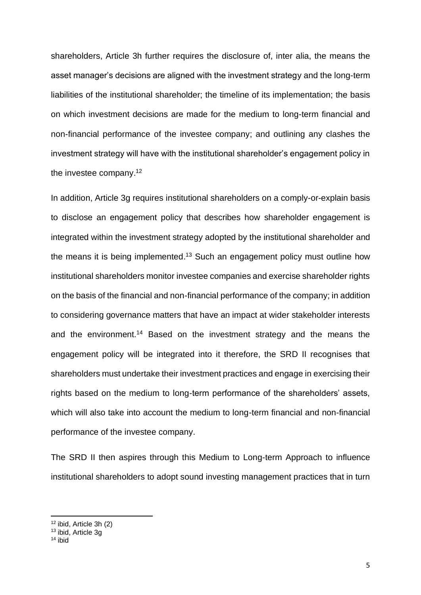shareholders, Article 3h further requires the disclosure of, inter alia, the means the asset manager's decisions are aligned with the investment strategy and the long-term liabilities of the institutional shareholder; the timeline of its implementation; the basis on which investment decisions are made for the medium to long-term financial and non-financial performance of the investee company; and outlining any clashes the investment strategy will have with the institutional shareholder's engagement policy in the investee company.<sup>12</sup>

In addition, Article 3g requires institutional shareholders on a comply-or-explain basis to disclose an engagement policy that describes how shareholder engagement is integrated within the investment strategy adopted by the institutional shareholder and the means it is being implemented.<sup>13</sup> Such an engagement policy must outline how institutional shareholders monitor investee companies and exercise shareholder rights on the basis of the financial and non-financial performance of the company; in addition to considering governance matters that have an impact at wider stakeholder interests and the environment.<sup>14</sup> Based on the investment strategy and the means the engagement policy will be integrated into it therefore, the SRD II recognises that shareholders must undertake their investment practices and engage in exercising their rights based on the medium to long-term performance of the shareholders' assets, which will also take into account the medium to long-term financial and non-financial performance of the investee company.

The SRD II then aspires through this Medium to Long-term Approach to influence institutional shareholders to adopt sound investing management practices that in turn

<sup>12</sup> ibid, Article 3h (2)

<sup>13</sup> ibid, Article 3g

<sup>14</sup> ibid $\overline{)}$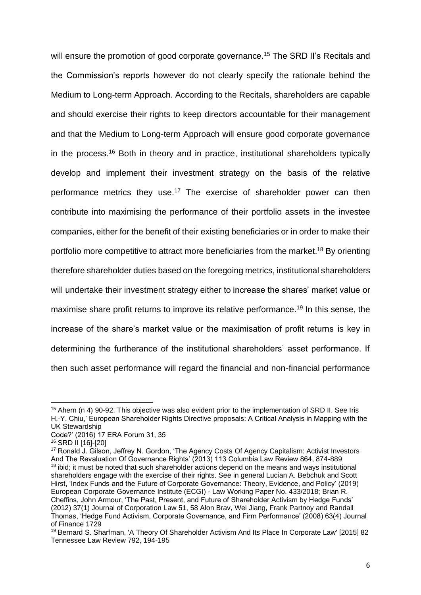will ensure the promotion of good corporate governance.<sup>15</sup> The SRD II's Recitals and the Commission's reports however do not clearly specify the rationale behind the Medium to Long-term Approach. According to the Recitals, shareholders are capable and should exercise their rights to keep directors accountable for their management and that the Medium to Long-term Approach will ensure good corporate governance in the process. <sup>16</sup> Both in theory and in practice, institutional shareholders typically develop and implement their investment strategy on the basis of the relative performance metrics they use.<sup>17</sup> The exercise of shareholder power can then contribute into maximising the performance of their portfolio assets in the investee companies, either for the benefit of their existing beneficiaries or in order to make their portfolio more competitive to attract more beneficiaries from the market.<sup>18</sup> By orienting therefore shareholder duties based on the foregoing metrics, institutional shareholders will undertake their investment strategy either to increase the shares' market value or maximise share profit returns to improve its relative performance. <sup>19</sup> In this sense, the increase of the share's market value or the maximisation of profit returns is key in determining the furtherance of the institutional shareholders' asset performance. If then such asset performance will regard the financial and non-financial performance

<sup>&</sup>lt;sup>15</sup> Ahern (n 4) 90-92. This objective was also evident prior to the implementation of SRD II. See Iris H.-Y. Chiu,' European Shareholder Rights Directive proposals: A Critical Analysis in Mapping with the UK Stewardship

Code?' (2016) 17 ERA Forum 31, 35

<sup>16</sup> SRD II [16]-[20]

<sup>&</sup>lt;sup>17</sup> Ronald J. Gilson, Jeffrey N. Gordon, 'The Agency Costs Of Agency Capitalism: Activist Investors And The Revaluation Of Governance Rights' (2013) 113 Columbia Law Review 864, 874-889 <sup>18</sup> ibid; it must be noted that such shareholder actions depend on the means and ways institutional shareholders engage with the exercise of their rights. See in general Lucian A. Bebchuk and Scott Hirst, 'Index Funds and the Future of Corporate Governance: Theory, Evidence, and Policy' (2019) European Corporate Governance Institute (ECGI) - Law Working Paper No. 433/2018; Brian R. Cheffins, John Armour, 'The Past, Present, and Future of Shareholder Activism by Hedge Funds' (2012) 37(1) Journal of Corporation Law 51, 58 Alon Brav, Wei Jiang, Frank Partnoy and Randall Thomas, 'Hedge Fund Activism, Corporate Governance, and Firm Performance' (2008) 63(4) Journal of Finance 1729

<sup>19</sup> Bernard S. Sharfman, 'A Theory Of Shareholder Activism And Its Place In Corporate Law' [2015] 82 Tennessee Law Review 792, 194-195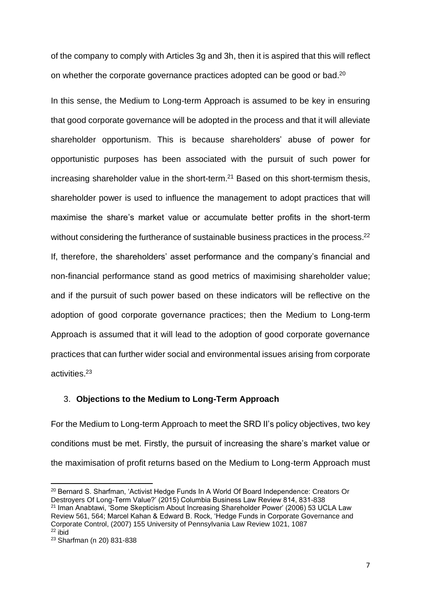of the company to comply with Articles 3g and 3h, then it is aspired that this will reflect on whether the corporate governance practices adopted can be good or bad.<sup>20</sup>

In this sense, the Medium to Long-term Approach is assumed to be key in ensuring that good corporate governance will be adopted in the process and that it will alleviate shareholder opportunism. This is because shareholders' abuse of power for opportunistic purposes has been associated with the pursuit of such power for increasing shareholder value in the short-term.<sup>21</sup> Based on this short-termism thesis, shareholder power is used to influence the management to adopt practices that will maximise the share's market value or accumulate better profits in the short-term without considering the furtherance of sustainable business practices in the process.<sup>22</sup> If, therefore, the shareholders' asset performance and the company's financial and non-financial performance stand as good metrics of maximising shareholder value; and if the pursuit of such power based on these indicators will be reflective on the adoption of good corporate governance practices; then the Medium to Long-term Approach is assumed that it will lead to the adoption of good corporate governance practices that can further wider social and environmental issues arising from corporate activities. 23

### 3. **Objections to the Medium to Long-Term Approach**

For the Medium to Long-term Approach to meet the SRD II's policy objectives, two key conditions must be met. Firstly, the pursuit of increasing the share's market value or the maximisation of profit returns based on the Medium to Long-term Approach must

<sup>&</sup>lt;sup>20</sup> Bernard S. Sharfman, 'Activist Hedge Funds In A World Of Board Independence: Creators Or Destroyers Of Long-Term Value?' (2015) Columbia Business Law Review 814, 831-838 <sup>21</sup> Iman Anabtawi, 'Some Skepticism About Increasing Shareholder Power' (2006) 53 UCLA Law Review 561, 564; Marcel Kahan & Edward B. Rock, 'Hedge Funds in Corporate Governance and

Corporate Control, (2007) 155 University of Pennsylvania Law Review 1021, 1087  $22$  ibid

<sup>23</sup> Sharfman (n 20) 831-838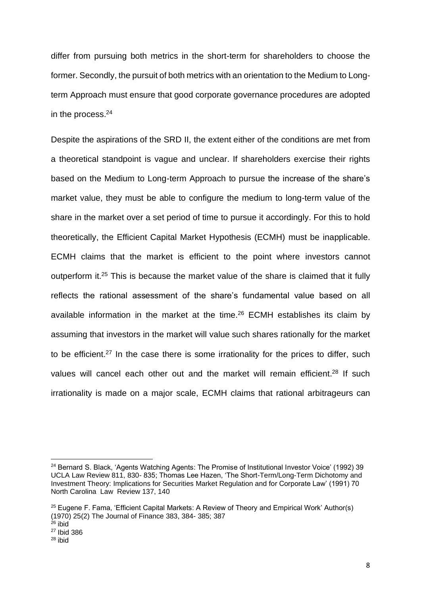differ from pursuing both metrics in the short-term for shareholders to choose the former. Secondly, the pursuit of both metrics with an orientation to the Medium to Longterm Approach must ensure that good corporate governance procedures are adopted in the process. $24$ 

Despite the aspirations of the SRD II, the extent either of the conditions are met from a theoretical standpoint is vague and unclear. If shareholders exercise their rights based on the Medium to Long-term Approach to pursue the increase of the share's market value, they must be able to configure the medium to long-term value of the share in the market over a set period of time to pursue it accordingly. For this to hold theoretically, the Efficient Capital Market Hypothesis (ECMH) must be inapplicable. ECMH claims that the market is efficient to the point where investors cannot outperform it.<sup>25</sup> This is because the market value of the share is claimed that it fully reflects the rational assessment of the share's fundamental value based on all available information in the market at the time. <sup>26</sup> ECMH establishes its claim by assuming that investors in the market will value such shares rationally for the market to be efficient.<sup>27</sup> In the case there is some irrationality for the prices to differ, such values will cancel each other out and the market will remain efficient.<sup>28</sup> If such irrationality is made on a major scale, ECMH claims that rational arbitrageurs can

<sup>&</sup>lt;sup>24</sup> Bernard S. Black, 'Agents Watching Agents: The Promise of Institutional Investor Voice' (1992) 39 UCLA Law Review 811, 830- 835; Thomas Lee Hazen, 'The Short-Term/Long-Term Dichotomy and Investment Theory: Implications for Securities Market Regulation and for Corporate Law' (1991) 70 North Carolina Law Review 137, 140

 $25$  Eugene F. Fama, 'Efficient Capital Markets: A Review of Theory and Empirical Work' Author(s) (1970) 25(2) The Journal of Finance 383, 384- 385; 387

<sup>26</sup> ibid

<sup>27</sup> Ibid 386

<sup>28</sup> ibid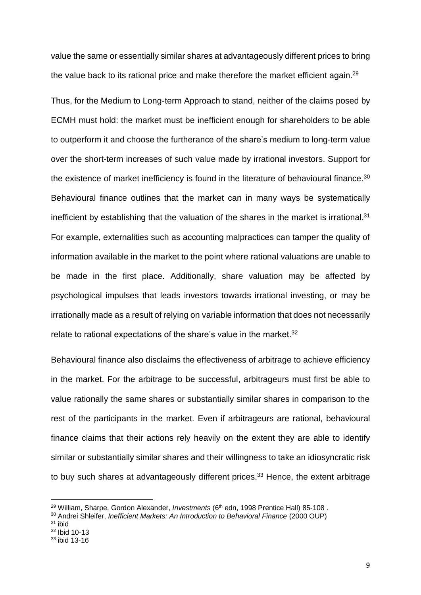value the same or essentially similar shares at advantageously different prices to bring the value back to its rational price and make therefore the market efficient again.<sup>29</sup>

Thus, for the Medium to Long-term Approach to stand, neither of the claims posed by ECMH must hold: the market must be inefficient enough for shareholders to be able to outperform it and choose the furtherance of the share's medium to long-term value over the short-term increases of such value made by irrational investors. Support for the existence of market inefficiency is found in the literature of behavioural finance. $30$ Behavioural finance outlines that the market can in many ways be systematically inefficient by establishing that the valuation of the shares in the market is irrational.<sup>31</sup> For example, externalities such as accounting malpractices can tamper the quality of information available in the market to the point where rational valuations are unable to be made in the first place. Additionally, share valuation may be affected by psychological impulses that leads investors towards irrational investing, or may be irrationally made as a result of relying on variable information that does not necessarily relate to rational expectations of the share's value in the market.<sup>32</sup>

Behavioural finance also disclaims the effectiveness of arbitrage to achieve efficiency in the market. For the arbitrage to be successful, arbitrageurs must first be able to value rationally the same shares or substantially similar shares in comparison to the rest of the participants in the market. Even if arbitrageurs are rational, behavioural finance claims that their actions rely heavily on the extent they are able to identify similar or substantially similar shares and their willingness to take an idiosyncratic risk to buy such shares at advantageously different prices.<sup>33</sup> Hence, the extent arbitrage

<sup>&</sup>lt;sup>29</sup> William, Sharpe, Gordon Alexander, *Investments* (6<sup>th</sup> edn, 1998 Prentice Hall) 85-108.

<sup>30</sup> Andrei Shleifer, *Inefficient Markets: An Introduction to Behavioral Finance* (2000 OUP)

<sup>31</sup> ibid

<sup>32</sup> Ibid 10-13

<sup>33</sup> ibid 13-16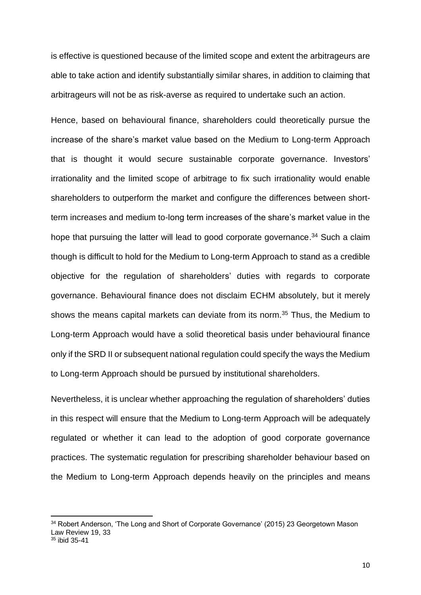is effective is questioned because of the limited scope and extent the arbitrageurs are able to take action and identify substantially similar shares, in addition to claiming that arbitrageurs will not be as risk-averse as required to undertake such an action.

Hence, based on behavioural finance, shareholders could theoretically pursue the increase of the share's market value based on the Medium to Long-term Approach that is thought it would secure sustainable corporate governance. Investors' irrationality and the limited scope of arbitrage to fix such irrationality would enable shareholders to outperform the market and configure the differences between shortterm increases and medium to-long term increases of the share's market value in the hope that pursuing the latter will lead to good corporate governance.<sup>34</sup> Such a claim though is difficult to hold for the Medium to Long-term Approach to stand as a credible objective for the regulation of shareholders' duties with regards to corporate governance. Behavioural finance does not disclaim ECHM absolutely, but it merely shows the means capital markets can deviate from its norm. <sup>35</sup> Thus, the Medium to Long-term Approach would have a solid theoretical basis under behavioural finance only if the SRD II or subsequent national regulation could specify the ways the Medium to Long-term Approach should be pursued by institutional shareholders.

Nevertheless, it is unclear whether approaching the regulation of shareholders' duties in this respect will ensure that the Medium to Long-term Approach will be adequately regulated or whether it can lead to the adoption of good corporate governance practices. The systematic regulation for prescribing shareholder behaviour based on the Medium to Long-term Approach depends heavily on the principles and means

<sup>&</sup>lt;sup>34</sup> Robert Anderson, 'The Long and Short of Corporate Governance' (2015) 23 Georgetown Mason Law Review 19, 33 <sup>35</sup> ibid 35-41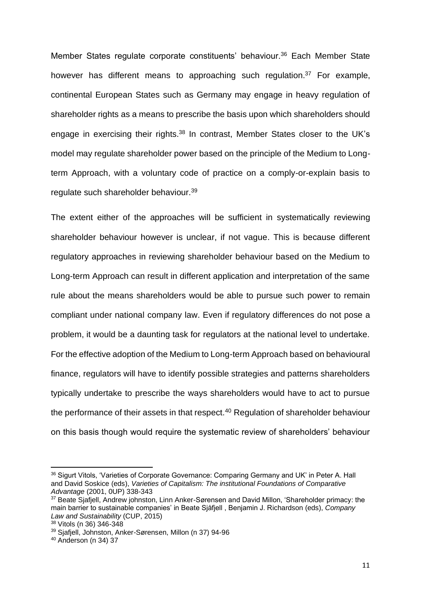Member States regulate corporate constituents' behaviour.<sup>36</sup> Each Member State however has different means to approaching such regulation.<sup>37</sup> For example, continental European States such as Germany may engage in heavy regulation of shareholder rights as a means to prescribe the basis upon which shareholders should engage in exercising their rights.<sup>38</sup> In contrast, Member States closer to the UK's model may regulate shareholder power based on the principle of the Medium to Longterm Approach, with a voluntary code of practice on a comply-or-explain basis to regulate such shareholder behaviour.<sup>39</sup>

The extent either of the approaches will be sufficient in systematically reviewing shareholder behaviour however is unclear, if not vague. This is because different regulatory approaches in reviewing shareholder behaviour based on the Medium to Long-term Approach can result in different application and interpretation of the same rule about the means shareholders would be able to pursue such power to remain compliant under national company law. Even if regulatory differences do not pose a problem, it would be a daunting task for regulators at the national level to undertake. For the effective adoption of the Medium to Long-term Approach based on behavioural finance, regulators will have to identify possible strategies and patterns shareholders typically undertake to prescribe the ways shareholders would have to act to pursue the performance of their assets in that respect.<sup>40</sup> Regulation of shareholder behaviour on this basis though would require the systematic review of shareholders' behaviour

<sup>&</sup>lt;sup>36</sup> Sigurt Vitols, 'Varieties of Corporate Governance: Comparing Germany and UK' in Peter A. Hall and David Soskice (eds), *Varieties of Capitalism: The institutional Foundations of Comparative Advantage* (2001, 0UP) 338-343

<sup>&</sup>lt;sup>37</sup> Beate Sjafjell, Andrew johnston, Linn Anker-Sørensen and David Millon, 'Shareholder primacy: the main barrier to sustainable companies' in Beate Sjåfjell , Benjamin J. Richardson (eds), *Company Law and Sustainability* (CUP, 2015)

<sup>38</sup> Vitols (n 36) 346-348

<sup>39</sup> Sjafjell, Johnston, Anker-Sørensen, Millon (n 37) 94-96

<sup>40</sup> Anderson (n 34) 37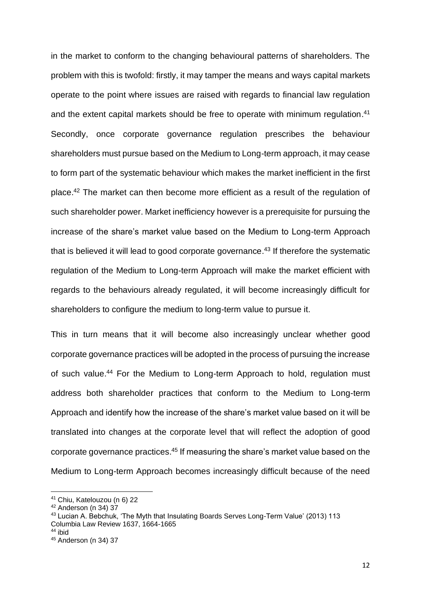in the market to conform to the changing behavioural patterns of shareholders. The problem with this is twofold: firstly, it may tamper the means and ways capital markets operate to the point where issues are raised with regards to financial law regulation and the extent capital markets should be free to operate with minimum regulation.<sup>41</sup> Secondly, once corporate governance regulation prescribes the behaviour shareholders must pursue based on the Medium to Long-term approach, it may cease to form part of the systematic behaviour which makes the market inefficient in the first place.<sup>42</sup> The market can then become more efficient as a result of the regulation of such shareholder power. Market inefficiency however is a prerequisite for pursuing the increase of the share's market value based on the Medium to Long-term Approach that is believed it will lead to good corporate governance.<sup>43</sup> If therefore the systematic regulation of the Medium to Long-term Approach will make the market efficient with regards to the behaviours already regulated, it will become increasingly difficult for shareholders to configure the medium to long-term value to pursue it.

This in turn means that it will become also increasingly unclear whether good corporate governance practices will be adopted in the process of pursuing the increase of such value.<sup>44</sup> For the Medium to Long-term Approach to hold, regulation must address both shareholder practices that conform to the Medium to Long-term Approach and identify how the increase of the share's market value based on it will be translated into changes at the corporate level that will reflect the adoption of good corporate governance practices. <sup>45</sup> If measuring the share's market value based on the Medium to Long-term Approach becomes increasingly difficult because of the need

<sup>41</sup> Chiu, Katelouzou (n 6) 22

<sup>42</sup> Anderson (n 34) 37

<sup>43</sup> Lucian A. Bebchuk, 'The Myth that Insulating Boards Serves Long-Term Value' (2013) 113 Columbia Law Review 1637, 1664-1665

<sup>44</sup> ibid

<sup>45</sup> Anderson (n 34) 37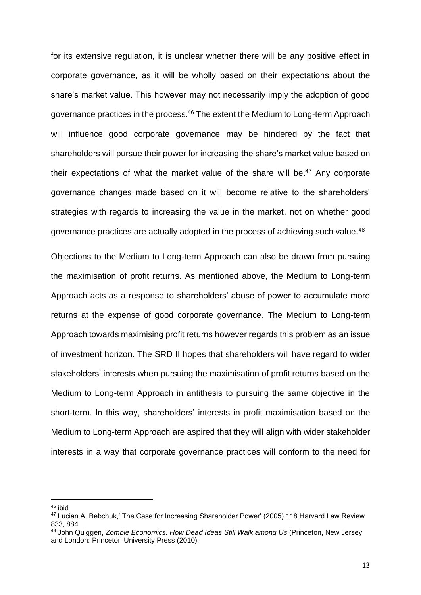for its extensive regulation, it is unclear whether there will be any positive effect in corporate governance, as it will be wholly based on their expectations about the share's market value. This however may not necessarily imply the adoption of good governance practices in the process.<sup>46</sup> The extent the Medium to Long-term Approach will influence good corporate governance may be hindered by the fact that shareholders will pursue their power for increasing the share's market value based on their expectations of what the market value of the share will be.<sup>47</sup> Any corporate governance changes made based on it will become relative to the shareholders' strategies with regards to increasing the value in the market, not on whether good governance practices are actually adopted in the process of achieving such value.<sup>48</sup>

Objections to the Medium to Long-term Approach can also be drawn from pursuing the maximisation of profit returns. As mentioned above, the Medium to Long-term Approach acts as a response to shareholders' abuse of power to accumulate more returns at the expense of good corporate governance. The Medium to Long-term Approach towards maximising profit returns however regards this problem as an issue of investment horizon. The SRD II hopes that shareholders will have regard to wider stakeholders' interests when pursuing the maximisation of profit returns based on the Medium to Long-term Approach in antithesis to pursuing the same objective in the short-term. In this way, shareholders' interests in profit maximisation based on the Medium to Long-term Approach are aspired that they will align with wider stakeholder interests in a way that corporate governance practices will conform to the need for

<sup>46</sup> ibid

<sup>47</sup> Lucian A. Bebchuk,' The Case for Increasing Shareholder Power' (2005) 118 Harvard Law Review 833, 884

<sup>48</sup> John Quiggen, *Zombie Economics: How Dead Ideas Still Walk among Us* (Princeton, New Jersey and London: Princeton University Press (2010);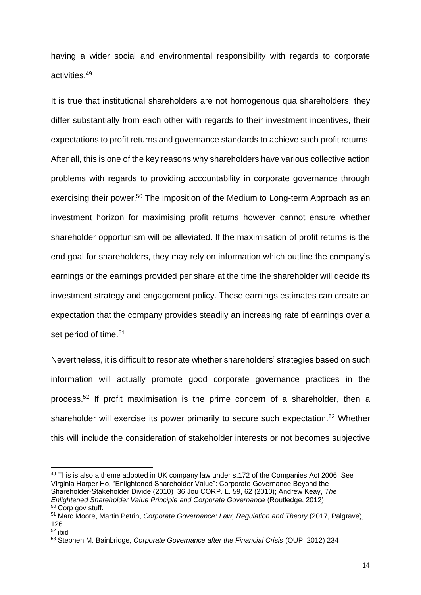having a wider social and environmental responsibility with regards to corporate activities. 49

It is true that institutional shareholders are not homogenous qua shareholders: they differ substantially from each other with regards to their investment incentives, their expectations to profit returns and governance standards to achieve such profit returns. After all, this is one of the key reasons why shareholders have various collective action problems with regards to providing accountability in corporate governance through exercising their power.<sup>50</sup> The imposition of the Medium to Long-term Approach as an investment horizon for maximising profit returns however cannot ensure whether shareholder opportunism will be alleviated. If the maximisation of profit returns is the end goal for shareholders, they may rely on information which outline the company's earnings or the earnings provided per share at the time the shareholder will decide its investment strategy and engagement policy. These earnings estimates can create an expectation that the company provides steadily an increasing rate of earnings over a set period of time.<sup>51</sup>

Nevertheless, it is difficult to resonate whether shareholders' strategies based on such information will actually promote good corporate governance practices in the process. <sup>52</sup> If profit maximisation is the prime concern of a shareholder, then a shareholder will exercise its power primarily to secure such expectation.<sup>53</sup> Whether this will include the consideration of stakeholder interests or not becomes subjective

<sup>&</sup>lt;sup>49</sup> This is also a theme adopted in UK company law under s.172 of the Companies Act 2006. See Virginia Harper Ho, "Enlightened Shareholder Value": Corporate Governance Beyond the Shareholder-Stakeholder Divide (2010) 36 Jou CORP. L. 59, 62 (2010); Andrew Keay, *The Enlightened Shareholder Value Principle and Corporate Governance* (Routledge, 2012) <sup>50</sup> Corp gov stuff.

<sup>51</sup> Marc Moore, Martin Petrin, *Corporate Governance: Law, Regulation and Theory* (2017, Palgrave), 126

 $52$  ibid

<sup>53</sup> Stephen M. Bainbridge, *Corporate Governance after the Financial Crisis* (OUP, 2012) 234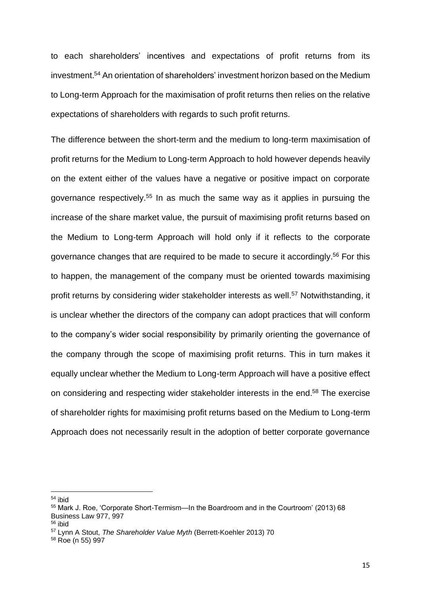to each shareholders' incentives and expectations of profit returns from its investment.<sup>54</sup> An orientation of shareholders' investment horizon based on the Medium to Long-term Approach for the maximisation of profit returns then relies on the relative expectations of shareholders with regards to such profit returns.

The difference between the short-term and the medium to long-term maximisation of profit returns for the Medium to Long-term Approach to hold however depends heavily on the extent either of the values have a negative or positive impact on corporate governance respectively.<sup>55</sup> In as much the same way as it applies in pursuing the increase of the share market value, the pursuit of maximising profit returns based on the Medium to Long-term Approach will hold only if it reflects to the corporate governance changes that are required to be made to secure it accordingly.<sup>56</sup> For this to happen, the management of the company must be oriented towards maximising profit returns by considering wider stakeholder interests as well.<sup>57</sup> Notwithstanding, it is unclear whether the directors of the company can adopt practices that will conform to the company's wider social responsibility by primarily orienting the governance of the company through the scope of maximising profit returns. This in turn makes it equally unclear whether the Medium to Long-term Approach will have a positive effect on considering and respecting wider stakeholder interests in the end.<sup>58</sup> The exercise of shareholder rights for maximising profit returns based on the Medium to Long-term Approach does not necessarily result in the adoption of better corporate governance

<sup>54</sup> ibid

<sup>55</sup> Mark J. Roe, 'Corporate Short-Termism—In the Boardroom and in the Courtroom' (2013) 68 Business Law 977, 997

<sup>56</sup> ibid

<sup>57</sup> Lynn A Stout, *The Shareholder Value Myth* (Berrett-Koehler 2013) 70

<sup>58</sup> Roe (n 55) 997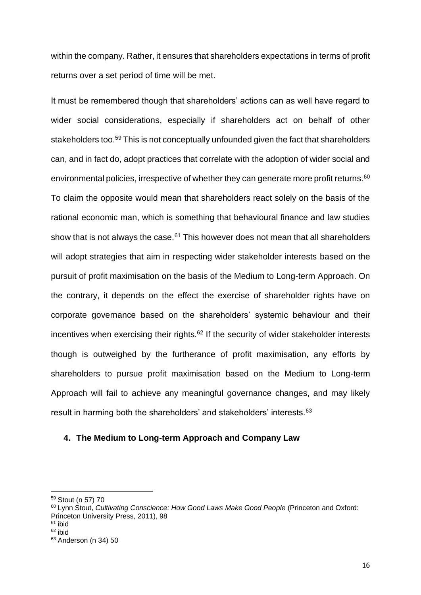within the company. Rather, it ensures that shareholders expectations in terms of profit returns over a set period of time will be met.

It must be remembered though that shareholders' actions can as well have regard to wider social considerations, especially if shareholders act on behalf of other stakeholders too.<sup>59</sup> This is not conceptually unfounded given the fact that shareholders can, and in fact do, adopt practices that correlate with the adoption of wider social and environmental policies, irrespective of whether they can generate more profit returns.<sup>60</sup> To claim the opposite would mean that shareholders react solely on the basis of the rational economic man, which is something that behavioural finance and law studies show that is not always the case. $61$  This however does not mean that all shareholders will adopt strategies that aim in respecting wider stakeholder interests based on the pursuit of profit maximisation on the basis of the Medium to Long-term Approach. On the contrary, it depends on the effect the exercise of shareholder rights have on corporate governance based on the shareholders' systemic behaviour and their incentives when exercising their rights. $62$  If the security of wider stakeholder interests though is outweighed by the furtherance of profit maximisation, any efforts by shareholders to pursue profit maximisation based on the Medium to Long-term Approach will fail to achieve any meaningful governance changes, and may likely result in harming both the shareholders' and stakeholders' interests.<sup>63</sup>

#### **4. The Medium to Long-term Approach and Company Law**

<sup>59</sup> Stout (n 57) 70

<sup>60</sup> Lynn Stout, *Cultivating Conscience: How Good Laws Make Good People* (Princeton and Oxford: Princeton University Press, 2011), 98

 $61$  ibid

 $62$  ibid

<sup>63</sup> Anderson (n 34) 50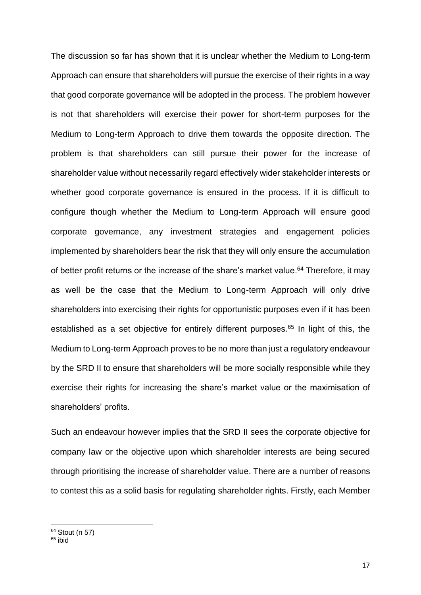The discussion so far has shown that it is unclear whether the Medium to Long-term Approach can ensure that shareholders will pursue the exercise of their rights in a way that good corporate governance will be adopted in the process. The problem however is not that shareholders will exercise their power for short-term purposes for the Medium to Long-term Approach to drive them towards the opposite direction. The problem is that shareholders can still pursue their power for the increase of shareholder value without necessarily regard effectively wider stakeholder interests or whether good corporate governance is ensured in the process. If it is difficult to configure though whether the Medium to Long-term Approach will ensure good corporate governance, any investment strategies and engagement policies implemented by shareholders bear the risk that they will only ensure the accumulation of better profit returns or the increase of the share's market value.<sup>64</sup> Therefore, it may as well be the case that the Medium to Long-term Approach will only drive shareholders into exercising their rights for opportunistic purposes even if it has been established as a set objective for entirely different purposes.<sup>65</sup> In light of this, the Medium to Long-term Approach proves to be no more than just a regulatory endeavour by the SRD II to ensure that shareholders will be more socially responsible while they exercise their rights for increasing the share's market value or the maximisation of shareholders' profits.

Such an endeavour however implies that the SRD II sees the corporate objective for company law or the objective upon which shareholder interests are being secured through prioritising the increase of shareholder value. There are a number of reasons to contest this as a solid basis for regulating shareholder rights. Firstly, each Member

<sup>64</sup> Stout (n 57)

 $65$  ibid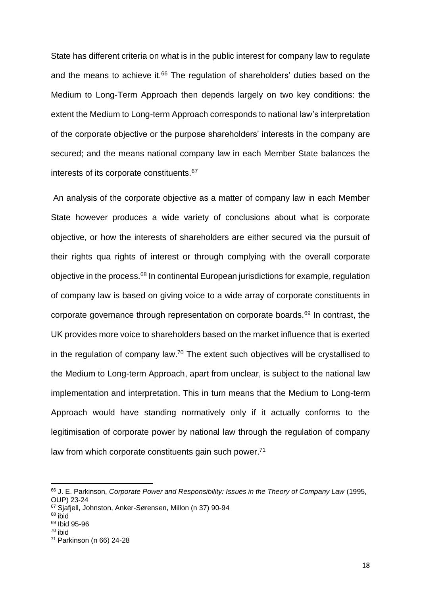State has different criteria on what is in the public interest for company law to regulate and the means to achieve it. $66$  The regulation of shareholders' duties based on the Medium to Long-Term Approach then depends largely on two key conditions: the extent the Medium to Long-term Approach corresponds to national law's interpretation of the corporate objective or the purpose shareholders' interests in the company are secured; and the means national company law in each Member State balances the interests of its corporate constituents.<sup>67</sup>

An analysis of the corporate objective as a matter of company law in each Member State however produces a wide variety of conclusions about what is corporate objective, or how the interests of shareholders are either secured via the pursuit of their rights qua rights of interest or through complying with the overall corporate objective in the process. <sup>68</sup> In continental European jurisdictions for example, regulation of company law is based on giving voice to a wide array of corporate constituents in corporate governance through representation on corporate boards.<sup>69</sup> In contrast, the UK provides more voice to shareholders based on the market influence that is exerted in the regulation of company law.<sup>70</sup> The extent such objectives will be crystallised to the Medium to Long-term Approach, apart from unclear, is subject to the national law implementation and interpretation. This in turn means that the Medium to Long-term Approach would have standing normatively only if it actually conforms to the legitimisation of corporate power by national law through the regulation of company law from which corporate constituents gain such power.<sup>71</sup>

<sup>66</sup> J. E. Parkinson, *Corporate Power and Responsibility: Issues in the Theory of Company Law* (1995, OUP) 23-24

<sup>67</sup> Sjafjell, Johnston, Anker-Sørensen, Millon (n 37) 90-94

 $68$  ibid

<sup>69</sup> Ibid 95-96

<sup>70</sup> ibid

<sup>71</sup> Parkinson (n 66) 24-28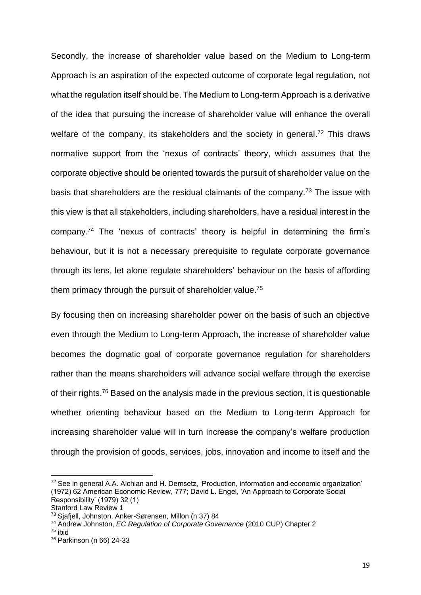Secondly, the increase of shareholder value based on the Medium to Long-term Approach is an aspiration of the expected outcome of corporate legal regulation, not what the regulation itself should be. The Medium to Long-term Approach is a derivative of the idea that pursuing the increase of shareholder value will enhance the overall welfare of the company, its stakeholders and the society in general.<sup>72</sup> This draws normative support from the 'nexus of contracts' theory, which assumes that the corporate objective should be oriented towards the pursuit of shareholder value on the basis that shareholders are the residual claimants of the company.<sup> $73$ </sup> The issue with this view is that all stakeholders, including shareholders, have a residual interest in the company.<sup>74</sup> The 'nexus of contracts' theory is helpful in determining the firm's behaviour, but it is not a necessary prerequisite to regulate corporate governance through its lens, let alone regulate shareholders' behaviour on the basis of affording them primacy through the pursuit of shareholder value.<sup>75</sup>

By focusing then on increasing shareholder power on the basis of such an objective even through the Medium to Long-term Approach, the increase of shareholder value becomes the dogmatic goal of corporate governance regulation for shareholders rather than the means shareholders will advance social welfare through the exercise of their rights.<sup>76</sup> Based on the analysis made in the previous section, it is questionable whether orienting behaviour based on the Medium to Long-term Approach for increasing shareholder value will in turn increase the company's welfare production through the provision of goods, services, jobs, innovation and income to itself and the

<sup>72</sup> See in general A.A. Alchian and H. Demsetz, 'Production, information and economic organization' (1972) 62 American Economic Review, 777; David L. Engel, 'An Approach to Corporate Social Responsibility' (1979) 32 (1)

Stanford Law Review 1

<sup>73</sup> Sjafjell, Johnston, Anker-Sørensen, Millon (n 37) 84

<sup>74</sup> Andrew Johnston, *EC Regulation of Corporate Governance* (2010 CUP) Chapter 2

 $75$  ibid

<sup>76</sup> Parkinson (n 66) 24-33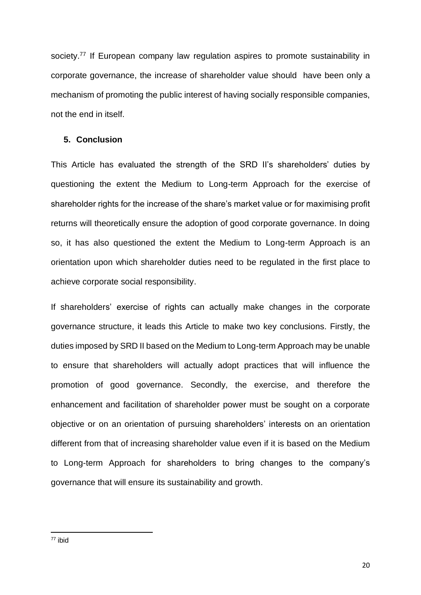society.<sup>77</sup> If European company law regulation aspires to promote sustainability in corporate governance, the increase of shareholder value should have been only a mechanism of promoting the public interest of having socially responsible companies, not the end in itself.

#### **5. Conclusion**

This Article has evaluated the strength of the SRD II's shareholders' duties by questioning the extent the Medium to Long-term Approach for the exercise of shareholder rights for the increase of the share's market value or for maximising profit returns will theoretically ensure the adoption of good corporate governance. In doing so, it has also questioned the extent the Medium to Long-term Approach is an orientation upon which shareholder duties need to be regulated in the first place to achieve corporate social responsibility.

If shareholders' exercise of rights can actually make changes in the corporate governance structure, it leads this Article to make two key conclusions. Firstly, the duties imposed by SRD II based on the Medium to Long-term Approach may be unable to ensure that shareholders will actually adopt practices that will influence the promotion of good governance. Secondly, the exercise, and therefore the enhancement and facilitation of shareholder power must be sought on a corporate objective or on an orientation of pursuing shareholders' interests on an orientation different from that of increasing shareholder value even if it is based on the Medium to Long-term Approach for shareholders to bring changes to the company's governance that will ensure its sustainability and growth.

20

<sup>77</sup> ibid